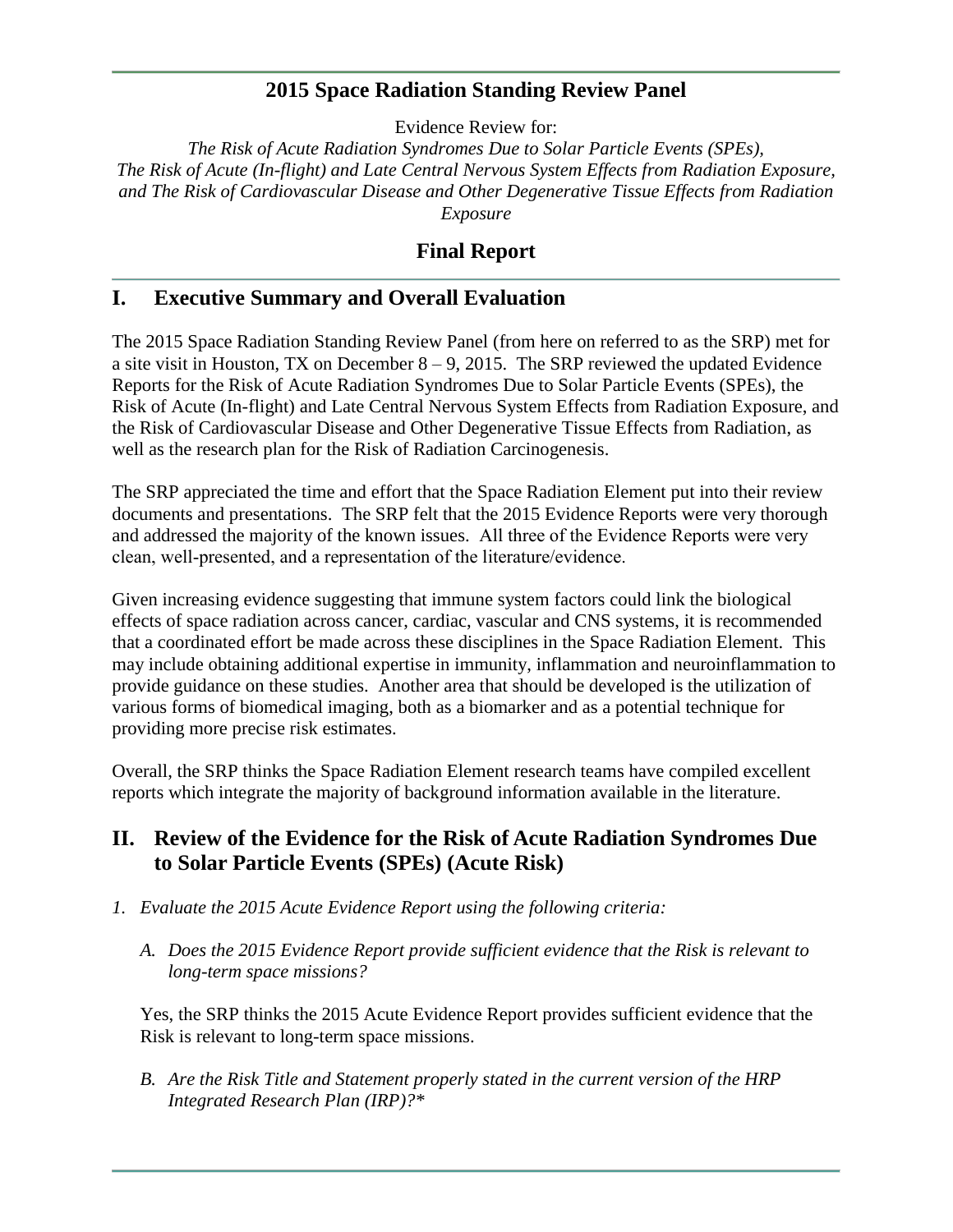# **2015 Space Radiation Standing Review Panel**

Evidence Review for:

*The Risk of Acute Radiation Syndromes Due to Solar Particle Events (SPEs), The Risk of Acute (In-flight) and Late Central Nervous System Effects from Radiation Exposure, and The Risk of Cardiovascular Disease and Other Degenerative Tissue Effects from Radiation Exposure*

# **Final Report**

# **I. Executive Summary and Overall Evaluation**

The 2015 Space Radiation Standing Review Panel (from here on referred to as the SRP) met for a site visit in Houston, TX on December  $8 - 9$ , 2015. The SRP reviewed the updated Evidence Reports for the Risk of Acute Radiation Syndromes Due to Solar Particle Events (SPEs), the Risk of Acute (In-flight) and Late Central Nervous System Effects from Radiation Exposure, and the Risk of Cardiovascular Disease and Other Degenerative Tissue Effects from Radiation, as well as the research plan for the Risk of Radiation Carcinogenesis.

The SRP appreciated the time and effort that the Space Radiation Element put into their review documents and presentations. The SRP felt that the 2015 Evidence Reports were very thorough and addressed the majority of the known issues. All three of the Evidence Reports were very clean, well-presented, and a representation of the literature/evidence.

Given increasing evidence suggesting that immune system factors could link the biological effects of space radiation across cancer, cardiac, vascular and CNS systems, it is recommended that a coordinated effort be made across these disciplines in the Space Radiation Element. This may include obtaining additional expertise in immunity, inflammation and neuroinflammation to provide guidance on these studies. Another area that should be developed is the utilization of various forms of biomedical imaging, both as a biomarker and as a potential technique for providing more precise risk estimates.

Overall, the SRP thinks the Space Radiation Element research teams have compiled excellent reports which integrate the majority of background information available in the literature.

# **II. Review of the Evidence for the Risk of Acute Radiation Syndromes Due to Solar Particle Events (SPEs) (Acute Risk)**

- *1. Evaluate the 2015 Acute Evidence Report using the following criteria:*
	- *A. Does the 2015 Evidence Report provide sufficient evidence that the Risk is relevant to long-term space missions?*

Yes, the SRP thinks the 2015 Acute Evidence Report provides sufficient evidence that the Risk is relevant to long-term space missions.

*B. Are the Risk Title and Statement properly stated in the current version of the HRP Integrated Research Plan (IRP)?\**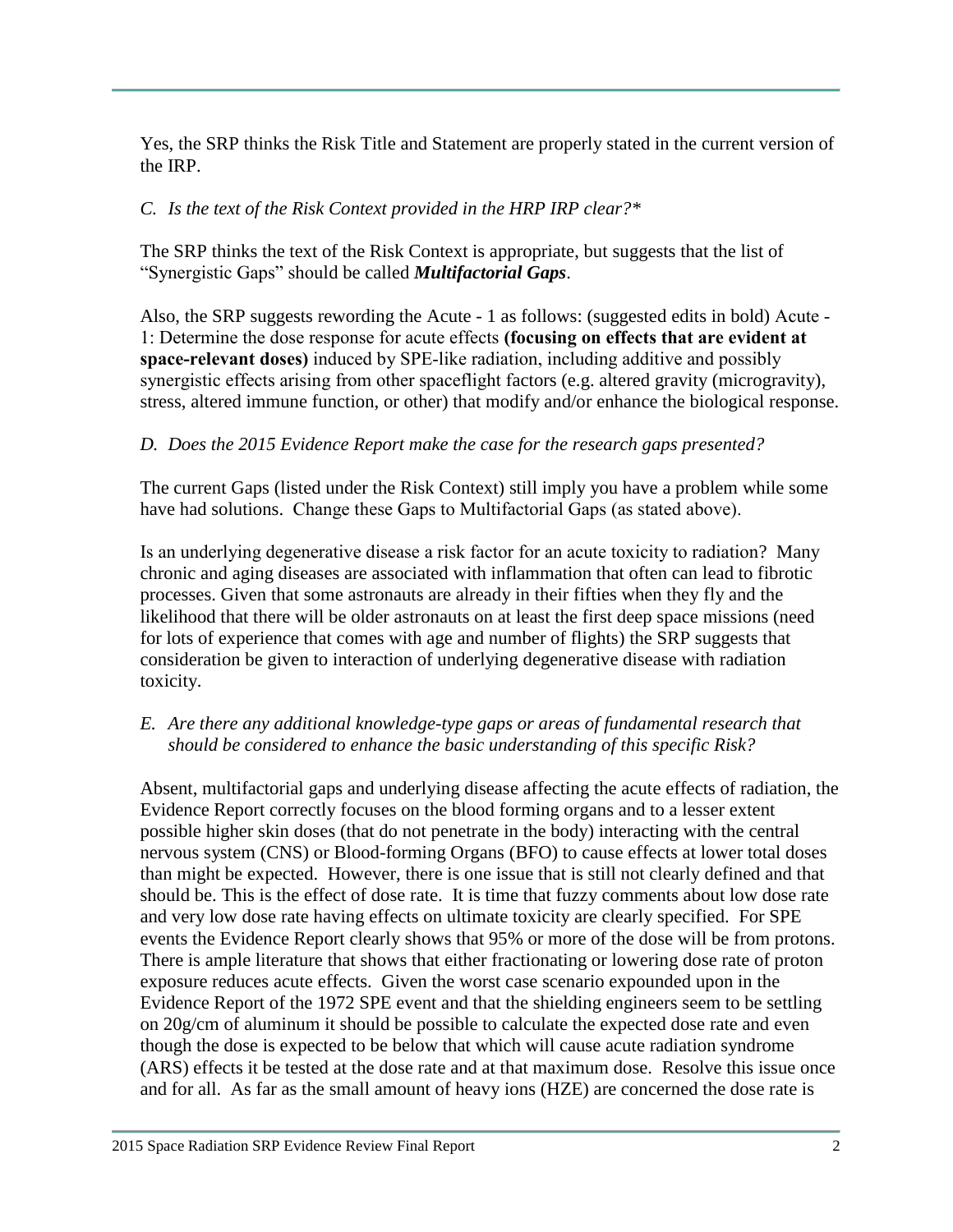Yes, the SRP thinks the Risk Title and Statement are properly stated in the current version of the IRP.

### *C. Is the text of the Risk Context provided in the HRP IRP clear?\**

The SRP thinks the text of the Risk Context is appropriate, but suggests that the list of "Synergistic Gaps" should be called *Multifactorial Gaps*.

Also, the SRP suggests rewording the Acute - 1 as follows: (suggested edits in bold) Acute - 1: Determine the dose response for acute effects **(focusing on effects that are evident at space-relevant doses)** induced by SPE-like radiation, including additive and possibly synergistic effects arising from other spaceflight factors (e.g. altered gravity (microgravity), stress, altered immune function, or other) that modify and/or enhance the biological response.

### *D. Does the 2015 Evidence Report make the case for the research gaps presented?*

The current Gaps (listed under the Risk Context) still imply you have a problem while some have had solutions. Change these Gaps to Multifactorial Gaps (as stated above).

Is an underlying degenerative disease a risk factor for an acute toxicity to radiation? Many chronic and aging diseases are associated with inflammation that often can lead to fibrotic processes. Given that some astronauts are already in their fifties when they fly and the likelihood that there will be older astronauts on at least the first deep space missions (need for lots of experience that comes with age and number of flights) the SRP suggests that consideration be given to interaction of underlying degenerative disease with radiation toxicity.

### *E. Are there any additional knowledge-type gaps or areas of fundamental research that should be considered to enhance the basic understanding of this specific Risk?*

Absent, multifactorial gaps and underlying disease affecting the acute effects of radiation, the Evidence Report correctly focuses on the blood forming organs and to a lesser extent possible higher skin doses (that do not penetrate in the body) interacting with the central nervous system (CNS) or Blood-forming Organs (BFO) to cause effects at lower total doses than might be expected. However, there is one issue that is still not clearly defined and that should be. This is the effect of dose rate. It is time that fuzzy comments about low dose rate and very low dose rate having effects on ultimate toxicity are clearly specified. For SPE events the Evidence Report clearly shows that 95% or more of the dose will be from protons. There is ample literature that shows that either fractionating or lowering dose rate of proton exposure reduces acute effects. Given the worst case scenario expounded upon in the Evidence Report of the 1972 SPE event and that the shielding engineers seem to be settling on 20g/cm of aluminum it should be possible to calculate the expected dose rate and even though the dose is expected to be below that which will cause acute radiation syndrome (ARS) effects it be tested at the dose rate and at that maximum dose. Resolve this issue once and for all. As far as the small amount of heavy ions (HZE) are concerned the dose rate is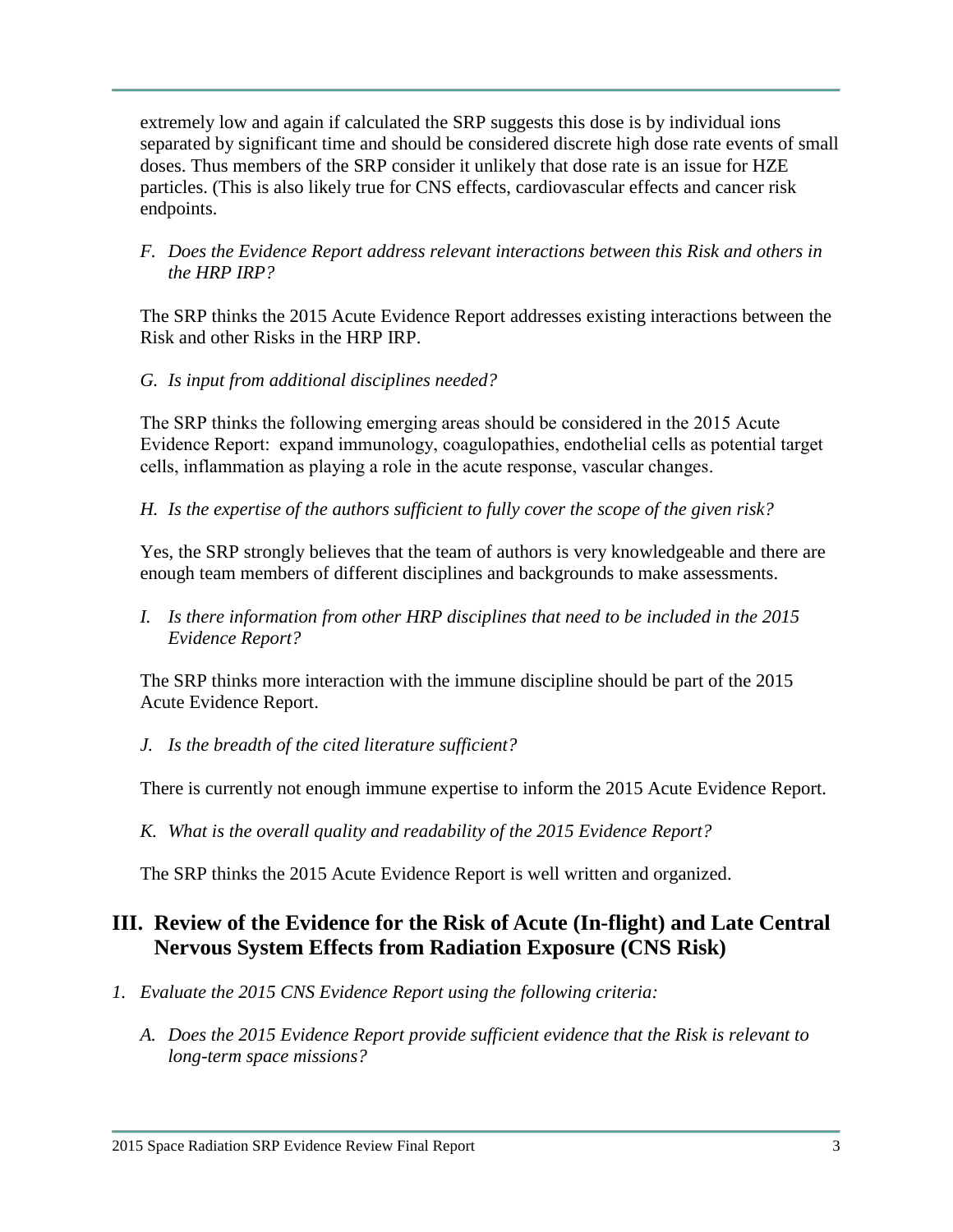extremely low and again if calculated the SRP suggests this dose is by individual ions separated by significant time and should be considered discrete high dose rate events of small doses. Thus members of the SRP consider it unlikely that dose rate is an issue for HZE particles. (This is also likely true for CNS effects, cardiovascular effects and cancer risk endpoints.

### *F. Does the Evidence Report address relevant interactions between this Risk and others in the HRP IRP?*

The SRP thinks the 2015 Acute Evidence Report addresses existing interactions between the Risk and other Risks in the HRP IRP.

# *G. Is input from additional disciplines needed?*

The SRP thinks the following emerging areas should be considered in the 2015 Acute Evidence Report: expand immunology, coagulopathies, endothelial cells as potential target cells, inflammation as playing a role in the acute response, vascular changes.

*H. Is the expertise of the authors sufficient to fully cover the scope of the given risk?*

Yes, the SRP strongly believes that the team of authors is very knowledgeable and there are enough team members of different disciplines and backgrounds to make assessments.

*I. Is there information from other HRP disciplines that need to be included in the 2015 Evidence Report?*

The SRP thinks more interaction with the immune discipline should be part of the 2015 Acute Evidence Report.

# *J. Is the breadth of the cited literature sufficient?*

There is currently not enough immune expertise to inform the 2015 Acute Evidence Report.

*K. What is the overall quality and readability of the 2015 Evidence Report?*

The SRP thinks the 2015 Acute Evidence Report is well written and organized.

# **III. Review of the Evidence for the Risk of Acute (In-flight) and Late Central Nervous System Effects from Radiation Exposure (CNS Risk)**

- *1. Evaluate the 2015 CNS Evidence Report using the following criteria:*
	- *A. Does the 2015 Evidence Report provide sufficient evidence that the Risk is relevant to long-term space missions?*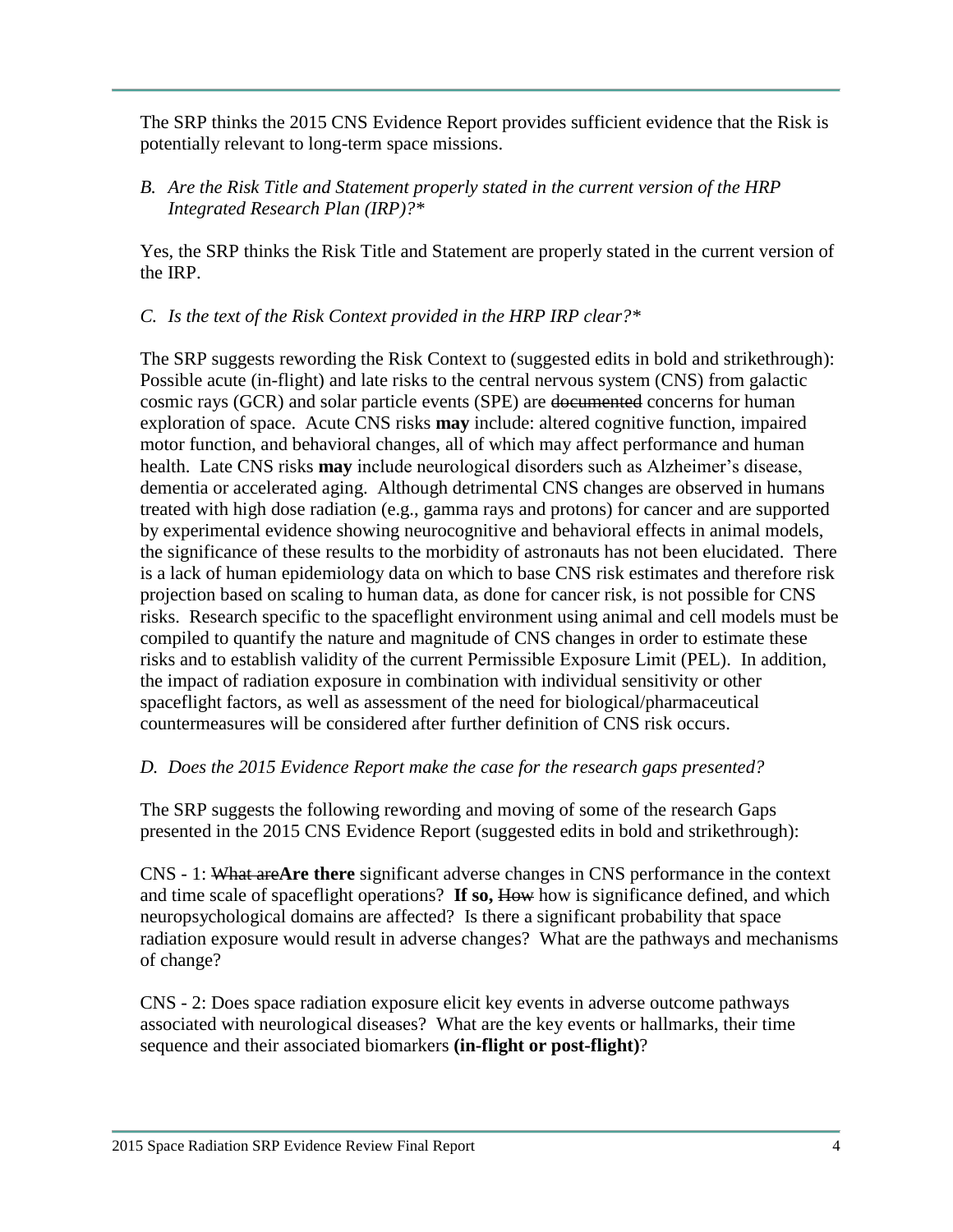The SRP thinks the 2015 CNS Evidence Report provides sufficient evidence that the Risk is potentially relevant to long-term space missions.

*B. Are the Risk Title and Statement properly stated in the current version of the HRP Integrated Research Plan (IRP)?\**

Yes, the SRP thinks the Risk Title and Statement are properly stated in the current version of the IRP.

*C. Is the text of the Risk Context provided in the HRP IRP clear?\**

The SRP suggests rewording the Risk Context to (suggested edits in bold and strikethrough): Possible acute (in-flight) and late risks to the central nervous system (CNS) from galactic cosmic rays (GCR) and solar particle events (SPE) are documented concerns for human exploration of space. Acute CNS risks **may** include: altered cognitive function, impaired motor function, and behavioral changes, all of which may affect performance and human health. Late CNS risks **may** include neurological disorders such as Alzheimer's disease, dementia or accelerated aging. Although detrimental CNS changes are observed in humans treated with high dose radiation (e.g., gamma rays and protons) for cancer and are supported by experimental evidence showing neurocognitive and behavioral effects in animal models, the significance of these results to the morbidity of astronauts has not been elucidated. There is a lack of human epidemiology data on which to base CNS risk estimates and therefore risk projection based on scaling to human data, as done for cancer risk, is not possible for CNS risks. Research specific to the spaceflight environment using animal and cell models must be compiled to quantify the nature and magnitude of CNS changes in order to estimate these risks and to establish validity of the current Permissible Exposure Limit (PEL). In addition, the impact of radiation exposure in combination with individual sensitivity or other spaceflight factors, as well as assessment of the need for biological/pharmaceutical countermeasures will be considered after further definition of CNS risk occurs.

# *D. Does the 2015 Evidence Report make the case for the research gaps presented?*

The SRP suggests the following rewording and moving of some of the research Gaps presented in the 2015 CNS Evidence Report (suggested edits in bold and strikethrough):

CNS - 1: What are**Are there** significant adverse changes in CNS performance in the context and time scale of spaceflight operations? If so, How how is significance defined, and which neuropsychological domains are affected? Is there a significant probability that space radiation exposure would result in adverse changes? What are the pathways and mechanisms of change?

CNS - 2: Does space radiation exposure elicit key events in adverse outcome pathways associated with neurological diseases? What are the key events or hallmarks, their time sequence and their associated biomarkers **(in-flight or post-flight)**?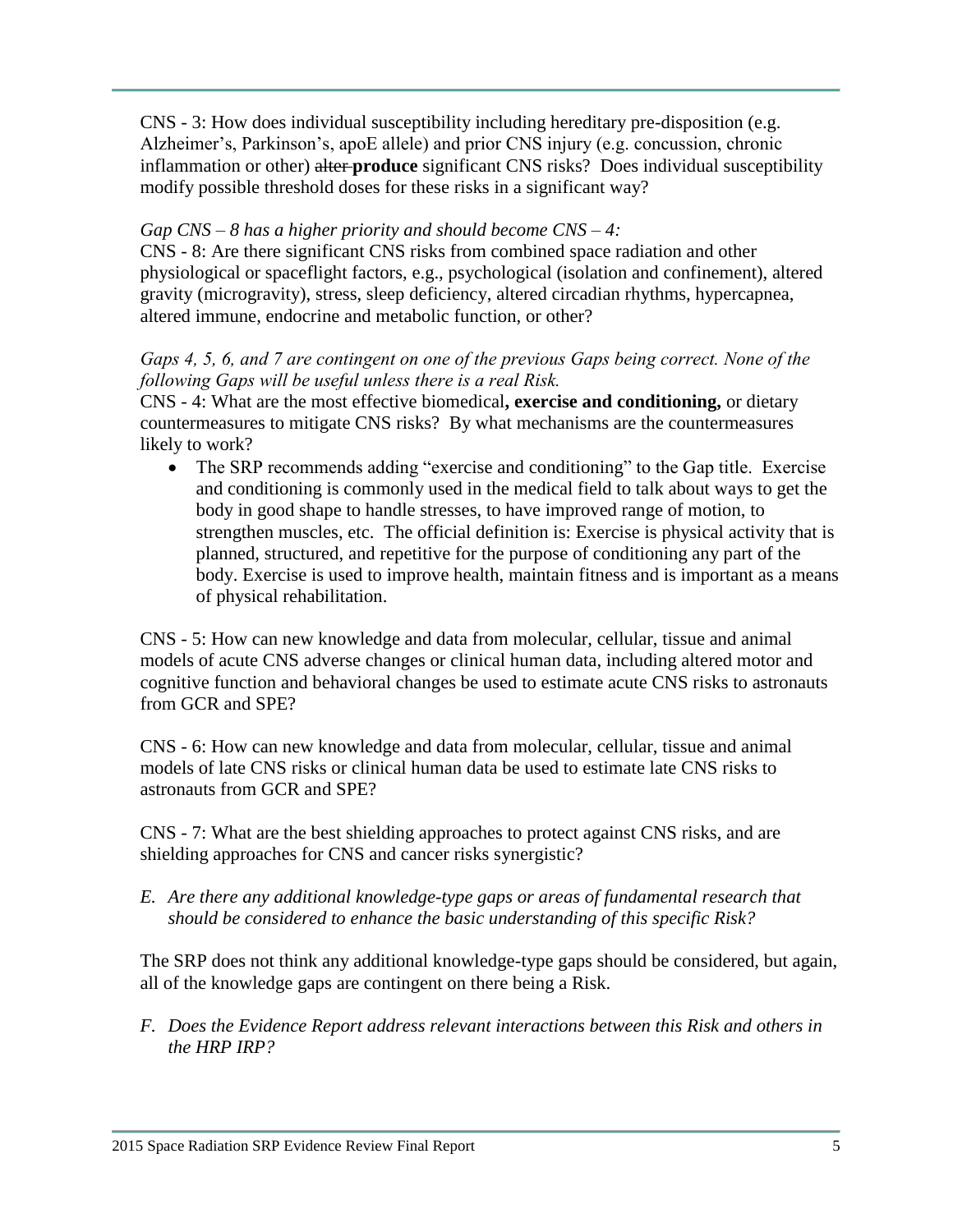CNS - 3: How does individual susceptibility including hereditary pre-disposition (e.g. Alzheimer's, Parkinson's, apoE allele) and prior CNS injury (e.g. concussion, chronic inflammation or other) alter **produce** significant CNS risks? Does individual susceptibility modify possible threshold doses for these risks in a significant way?

### *Gap CNS – 8 has a higher priority and should become CNS – 4:*

CNS - 8: Are there significant CNS risks from combined space radiation and other physiological or spaceflight factors, e.g., psychological (isolation and confinement), altered gravity (microgravity), stress, sleep deficiency, altered circadian rhythms, hypercapnea, altered immune, endocrine and metabolic function, or other?

### *Gaps 4, 5, 6, and 7 are contingent on one of the previous Gaps being correct. None of the following Gaps will be useful unless there is a real Risk.*

CNS - 4: What are the most effective biomedical**, exercise and conditioning,** or dietary countermeasures to mitigate CNS risks? By what mechanisms are the countermeasures likely to work?

• The SRP recommends adding "exercise and conditioning" to the Gap title. Exercise and conditioning is commonly used in the medical field to talk about ways to get the body in good shape to handle stresses, to have improved range of motion, to strengthen muscles, etc. The official definition is: Exercise is physical activity that is planned, structured, and repetitive for the purpose of conditioning any part of the body. Exercise is used to improve health, maintain fitness and is important as a means of physical rehabilitation.

CNS - 5: How can new knowledge and data from molecular, cellular, tissue and animal models of acute CNS adverse changes or clinical human data, including altered motor and cognitive function and behavioral changes be used to estimate acute CNS risks to astronauts from GCR and SPE?

CNS - 6: How can new knowledge and data from molecular, cellular, tissue and animal models of late CNS risks or clinical human data be used to estimate late CNS risks to astronauts from GCR and SPE?

CNS - 7: What are the best shielding approaches to protect against CNS risks, and are shielding approaches for CNS and cancer risks synergistic?

*E. Are there any additional knowledge-type gaps or areas of fundamental research that should be considered to enhance the basic understanding of this specific Risk?*

The SRP does not think any additional knowledge-type gaps should be considered, but again, all of the knowledge gaps are contingent on there being a Risk.

*F. Does the Evidence Report address relevant interactions between this Risk and others in the HRP IRP?*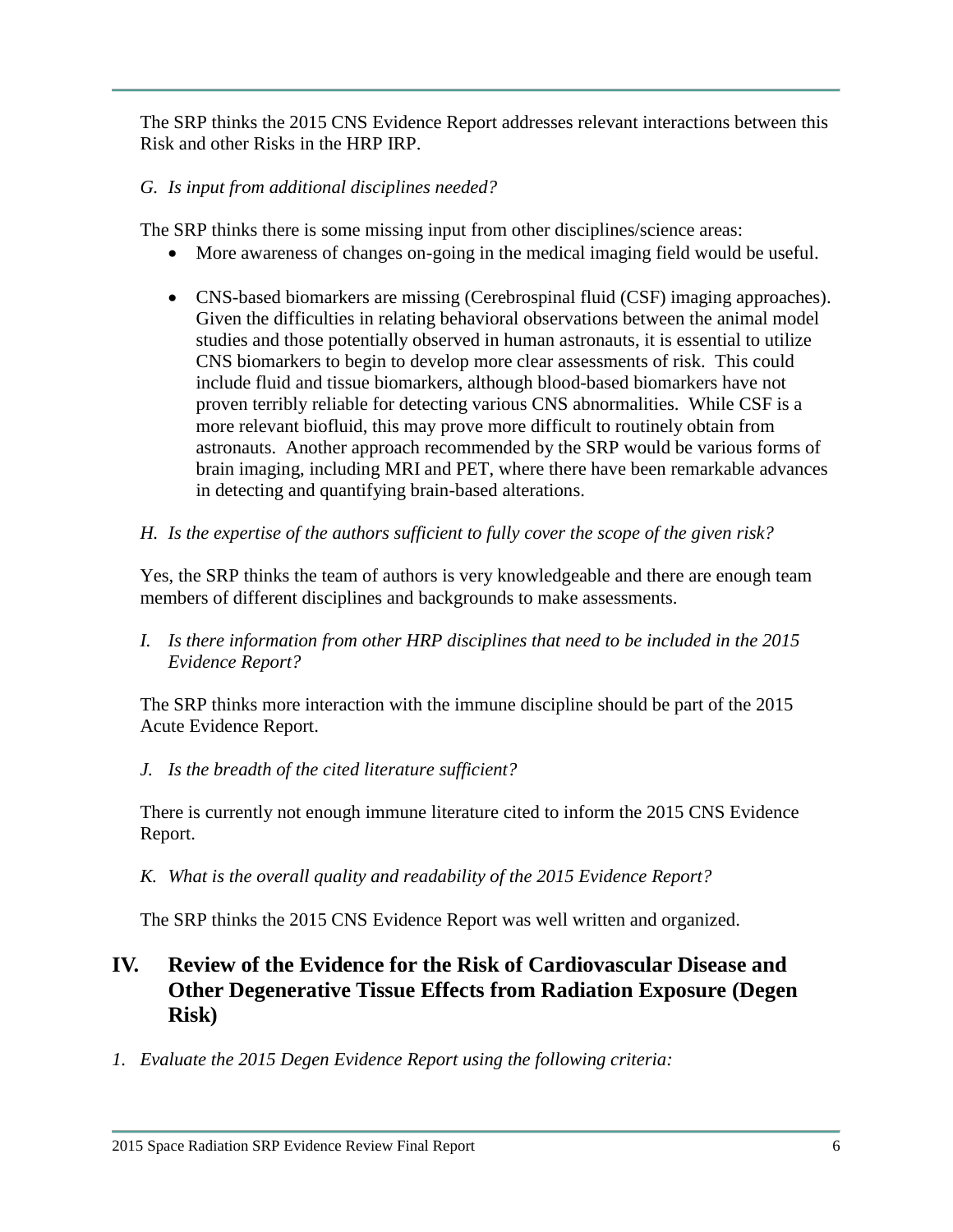The SRP thinks the 2015 CNS Evidence Report addresses relevant interactions between this Risk and other Risks in the HRP IRP.

# *G. Is input from additional disciplines needed?*

The SRP thinks there is some missing input from other disciplines/science areas:

- More awareness of changes on-going in the medical imaging field would be useful.
- CNS-based biomarkers are missing (Cerebrospinal fluid (CSF) imaging approaches). Given the difficulties in relating behavioral observations between the animal model studies and those potentially observed in human astronauts, it is essential to utilize CNS biomarkers to begin to develop more clear assessments of risk. This could include fluid and tissue biomarkers, although blood-based biomarkers have not proven terribly reliable for detecting various CNS abnormalities. While CSF is a more relevant biofluid, this may prove more difficult to routinely obtain from astronauts. Another approach recommended by the SRP would be various forms of brain imaging, including MRI and PET, where there have been remarkable advances in detecting and quantifying brain-based alterations.
- *H. Is the expertise of the authors sufficient to fully cover the scope of the given risk?*

Yes, the SRP thinks the team of authors is very knowledgeable and there are enough team members of different disciplines and backgrounds to make assessments.

*I. Is there information from other HRP disciplines that need to be included in the 2015 Evidence Report?*

The SRP thinks more interaction with the immune discipline should be part of the 2015 Acute Evidence Report.

*J. Is the breadth of the cited literature sufficient?*

There is currently not enough immune literature cited to inform the 2015 CNS Evidence Report.

*K. What is the overall quality and readability of the 2015 Evidence Report?*

The SRP thinks the 2015 CNS Evidence Report was well written and organized.

# **IV. Review of the Evidence for the Risk of Cardiovascular Disease and Other Degenerative Tissue Effects from Radiation Exposure (Degen Risk)**

*1. Evaluate the 2015 Degen Evidence Report using the following criteria:*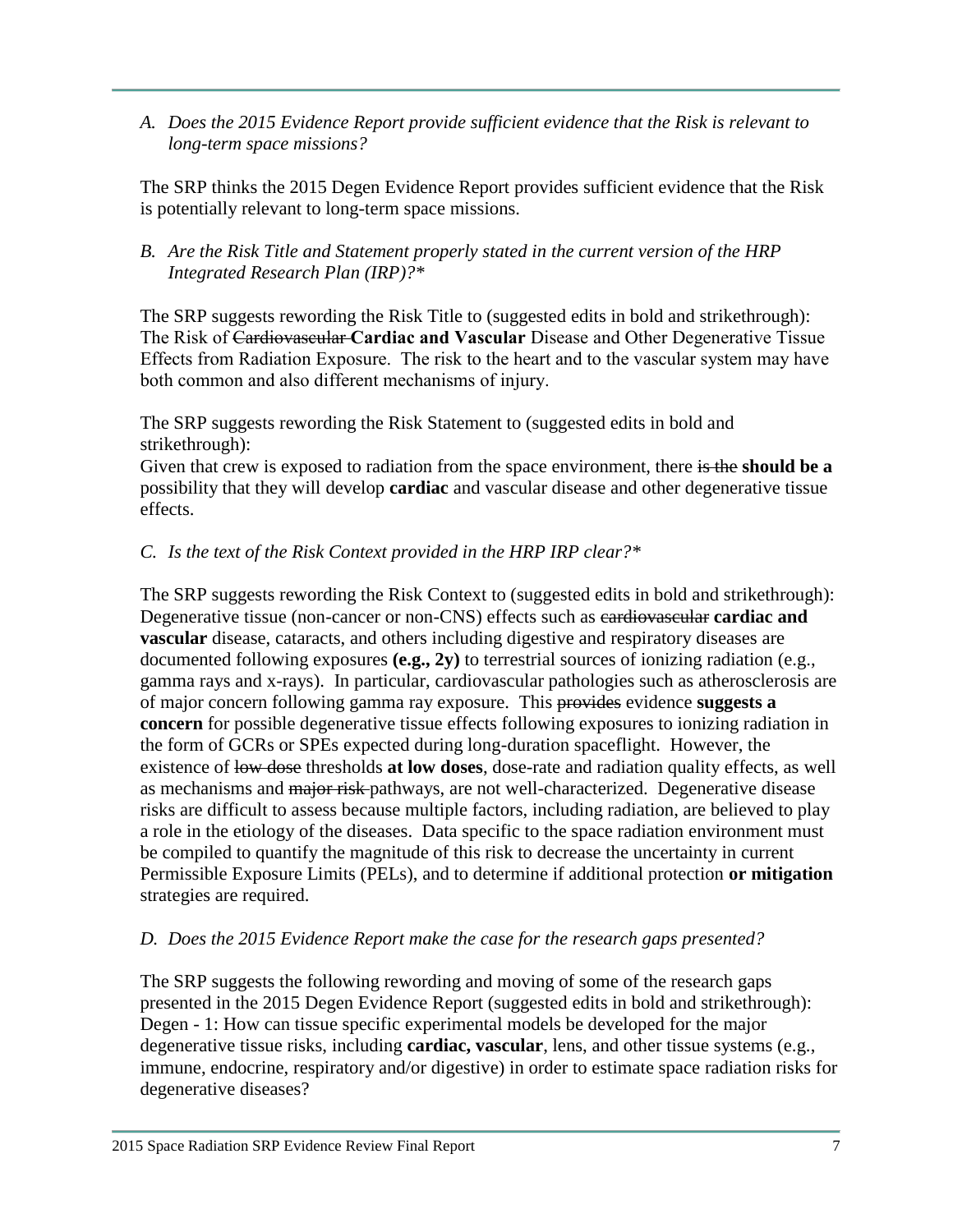*A. Does the 2015 Evidence Report provide sufficient evidence that the Risk is relevant to long-term space missions?*

The SRP thinks the 2015 Degen Evidence Report provides sufficient evidence that the Risk is potentially relevant to long-term space missions.

# *B. Are the Risk Title and Statement properly stated in the current version of the HRP Integrated Research Plan (IRP)?\**

The SRP suggests rewording the Risk Title to (suggested edits in bold and strikethrough): The Risk of Cardiovascular **Cardiac and Vascular** Disease and Other Degenerative Tissue Effects from Radiation Exposure. The risk to the heart and to the vascular system may have both common and also different mechanisms of injury.

The SRP suggests rewording the Risk Statement to (suggested edits in bold and strikethrough):

Given that crew is exposed to radiation from the space environment, there is the **should be a** possibility that they will develop **cardiac** and vascular disease and other degenerative tissue effects.

# *C. Is the text of the Risk Context provided in the HRP IRP clear?\**

The SRP suggests rewording the Risk Context to (suggested edits in bold and strikethrough): Degenerative tissue (non-cancer or non-CNS) effects such as cardiovascular **cardiac and vascular** disease, cataracts, and others including digestive and respiratory diseases are documented following exposures **(e.g., 2y)** to terrestrial sources of ionizing radiation (e.g., gamma rays and x-rays). In particular, cardiovascular pathologies such as atherosclerosis are of major concern following gamma ray exposure. This provides evidence **suggests a concern** for possible degenerative tissue effects following exposures to ionizing radiation in the form of GCRs or SPEs expected during long-duration spaceflight. However, the existence of low dose thresholds **at low doses**, dose-rate and radiation quality effects, as well as mechanisms and major risk-pathways, are not well-characterized. Degenerative disease risks are difficult to assess because multiple factors, including radiation, are believed to play a role in the etiology of the diseases. Data specific to the space radiation environment must be compiled to quantify the magnitude of this risk to decrease the uncertainty in current Permissible Exposure Limits (PELs), and to determine if additional protection **or mitigation**  strategies are required.

# *D. Does the 2015 Evidence Report make the case for the research gaps presented?*

The SRP suggests the following rewording and moving of some of the research gaps presented in the 2015 Degen Evidence Report (suggested edits in bold and strikethrough): Degen - 1: How can tissue specific experimental models be developed for the major degenerative tissue risks, including **cardiac, vascular**, lens, and other tissue systems (e.g., immune, endocrine, respiratory and/or digestive) in order to estimate space radiation risks for degenerative diseases?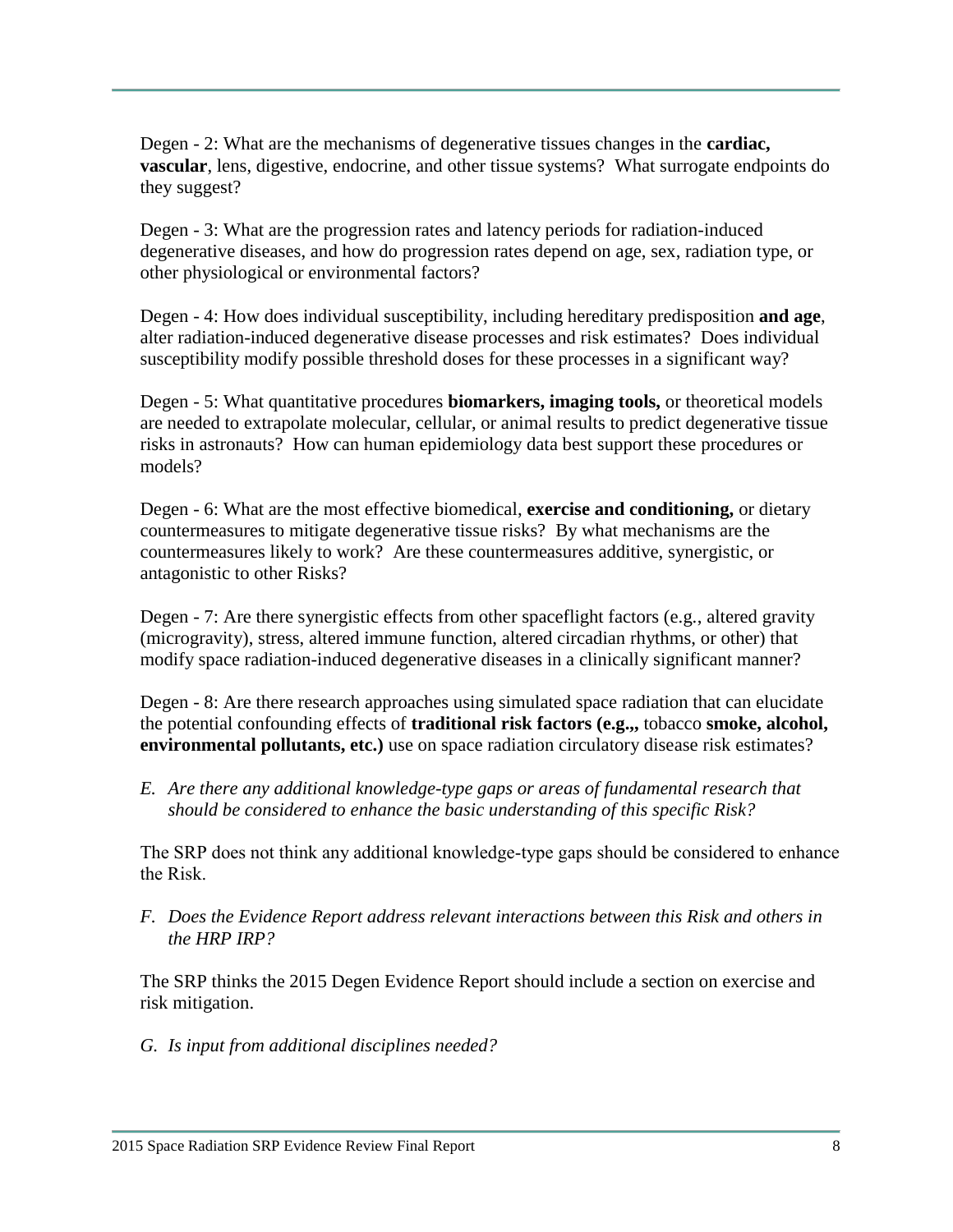Degen - 2: What are the mechanisms of degenerative tissues changes in the **cardiac, vascular**, lens, digestive, endocrine, and other tissue systems? What surrogate endpoints do they suggest?

Degen - 3: What are the progression rates and latency periods for radiation-induced degenerative diseases, and how do progression rates depend on age, sex, radiation type, or other physiological or environmental factors?

Degen - 4: How does individual susceptibility, including hereditary predisposition **and age**, alter radiation-induced degenerative disease processes and risk estimates? Does individual susceptibility modify possible threshold doses for these processes in a significant way?

Degen - 5: What quantitative procedures **biomarkers, imaging tools,** or theoretical models are needed to extrapolate molecular, cellular, or animal results to predict degenerative tissue risks in astronauts? How can human epidemiology data best support these procedures or models?

Degen - 6: What are the most effective biomedical, **exercise and conditioning,** or dietary countermeasures to mitigate degenerative tissue risks? By what mechanisms are the countermeasures likely to work? Are these countermeasures additive, synergistic, or antagonistic to other Risks?

Degen - 7: Are there synergistic effects from other spaceflight factors (e.g., altered gravity (microgravity), stress, altered immune function, altered circadian rhythms, or other) that modify space radiation-induced degenerative diseases in a clinically significant manner?

Degen - 8: Are there research approaches using simulated space radiation that can elucidate the potential confounding effects of **traditional risk factors (e.g.,,** tobacco **smoke, alcohol, environmental pollutants, etc.)** use on space radiation circulatory disease risk estimates?

*E. Are there any additional knowledge-type gaps or areas of fundamental research that should be considered to enhance the basic understanding of this specific Risk?*

The SRP does not think any additional knowledge-type gaps should be considered to enhance the Risk.

*F. Does the Evidence Report address relevant interactions between this Risk and others in the HRP IRP?* 

The SRP thinks the 2015 Degen Evidence Report should include a section on exercise and risk mitigation.

*G. Is input from additional disciplines needed?*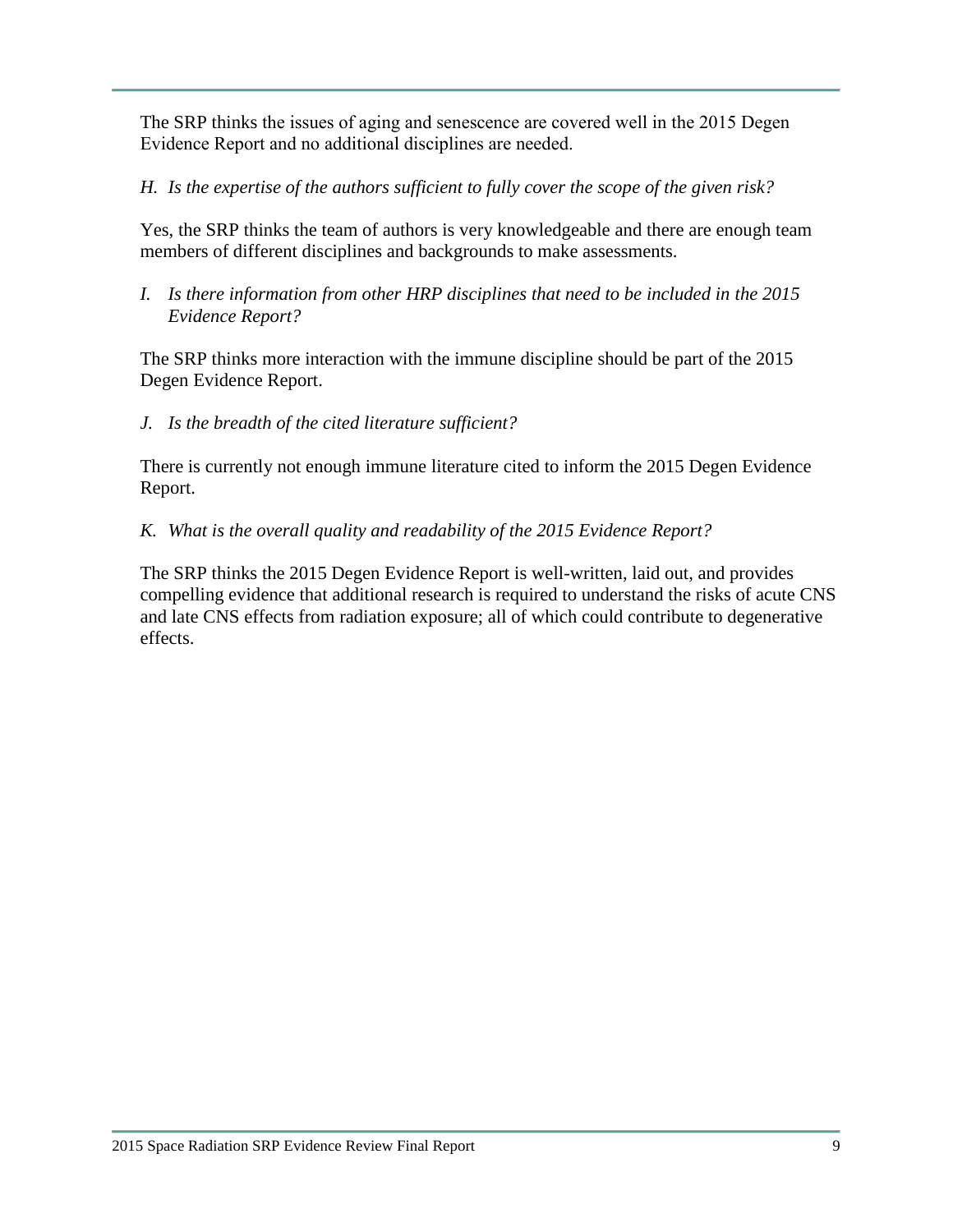The SRP thinks the issues of aging and senescence are covered well in the 2015 Degen Evidence Report and no additional disciplines are needed.

# *H. Is the expertise of the authors sufficient to fully cover the scope of the given risk?*

Yes, the SRP thinks the team of authors is very knowledgeable and there are enough team members of different disciplines and backgrounds to make assessments.

*I. Is there information from other HRP disciplines that need to be included in the 2015 Evidence Report?*

The SRP thinks more interaction with the immune discipline should be part of the 2015 Degen Evidence Report.

*J. Is the breadth of the cited literature sufficient?*

There is currently not enough immune literature cited to inform the 2015 Degen Evidence Report.

*K. What is the overall quality and readability of the 2015 Evidence Report?*

The SRP thinks the 2015 Degen Evidence Report is well-written, laid out, and provides compelling evidence that additional research is required to understand the risks of acute CNS and late CNS effects from radiation exposure; all of which could contribute to degenerative effects.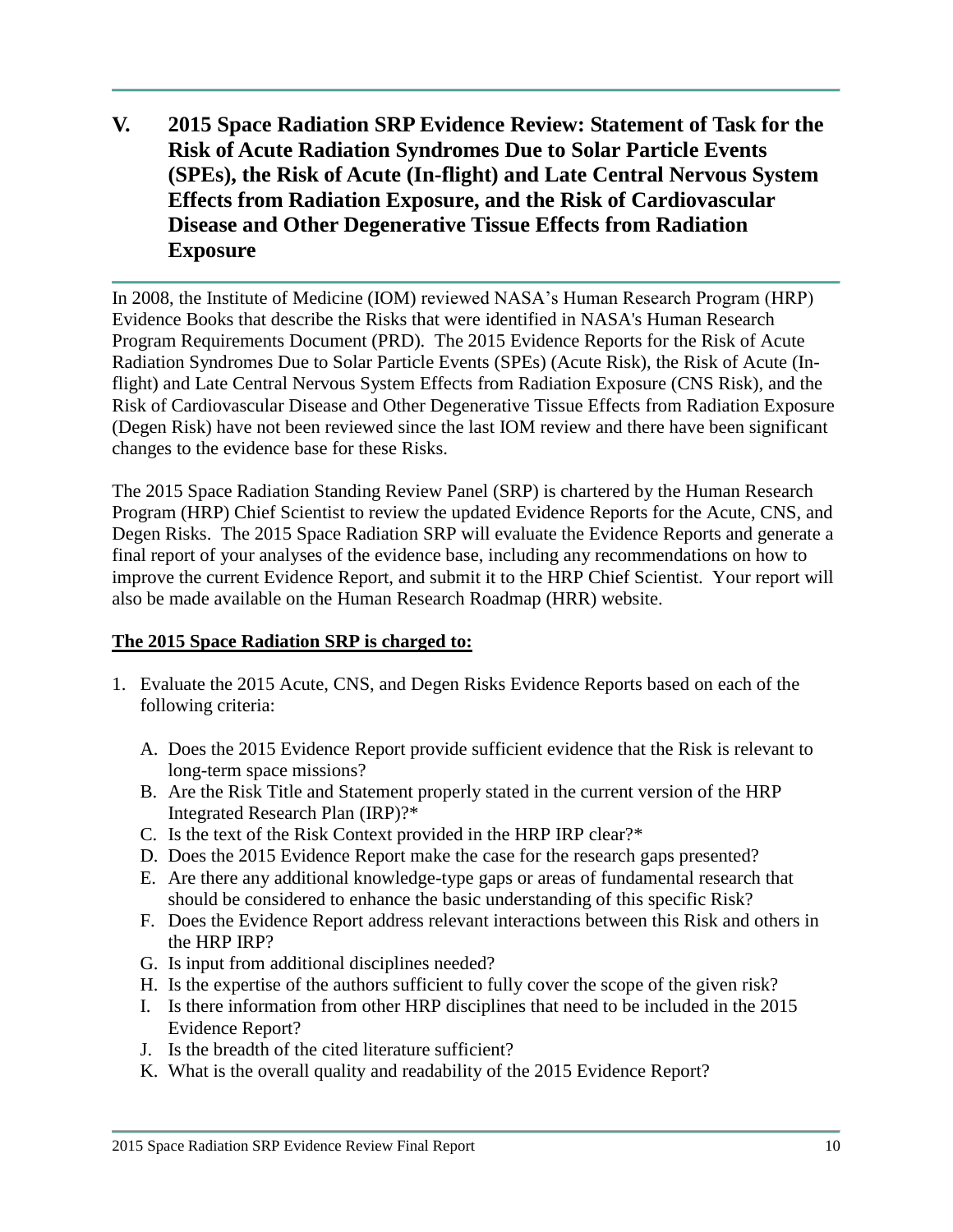**V. 2015 Space Radiation SRP Evidence Review: Statement of Task for the Risk of Acute Radiation Syndromes Due to Solar Particle Events (SPEs), the Risk of Acute (In-flight) and Late Central Nervous System Effects from Radiation Exposure, and the Risk of Cardiovascular Disease and Other Degenerative Tissue Effects from Radiation Exposure**

In 2008, the Institute of Medicine (IOM) reviewed NASA's Human Research Program (HRP) Evidence Books that describe the Risks that were identified in NASA's Human Research Program Requirements Document (PRD). The 2015 Evidence Reports for the Risk of Acute Radiation Syndromes Due to Solar Particle Events (SPEs) (Acute Risk), the Risk of Acute (Inflight) and Late Central Nervous System Effects from Radiation Exposure (CNS Risk), and the Risk of Cardiovascular Disease and Other Degenerative Tissue Effects from Radiation Exposure (Degen Risk) have not been reviewed since the last IOM review and there have been significant changes to the evidence base for these Risks.

The 2015 Space Radiation Standing Review Panel (SRP) is chartered by the Human Research Program (HRP) Chief Scientist to review the updated Evidence Reports for the Acute, CNS, and Degen Risks. The 2015 Space Radiation SRP will evaluate the Evidence Reports and generate a final report of your analyses of the evidence base, including any recommendations on how to improve the current Evidence Report, and submit it to the HRP Chief Scientist. Your report will also be made available on the Human Research Roadmap (HRR) website.

### **The 2015 Space Radiation SRP is charged to:**

- 1. Evaluate the 2015 Acute, CNS, and Degen Risks Evidence Reports based on each of the following criteria:
	- A. Does the 2015 Evidence Report provide sufficient evidence that the Risk is relevant to long-term space missions?
	- B. Are the Risk Title and Statement properly stated in the current version of the HRP Integrated Research Plan (IRP)?\*
	- C. Is the text of the Risk Context provided in the HRP IRP clear?\*
	- D. Does the 2015 Evidence Report make the case for the research gaps presented?
	- E. Are there any additional knowledge-type gaps or areas of fundamental research that should be considered to enhance the basic understanding of this specific Risk?
	- F. Does the Evidence Report address relevant interactions between this Risk and others in the HRP IRP?
	- G. Is input from additional disciplines needed?
	- H. Is the expertise of the authors sufficient to fully cover the scope of the given risk?
	- I. Is there information from other HRP disciplines that need to be included in the 2015 Evidence Report?
	- J. Is the breadth of the cited literature sufficient?
	- K. What is the overall quality and readability of the 2015 Evidence Report?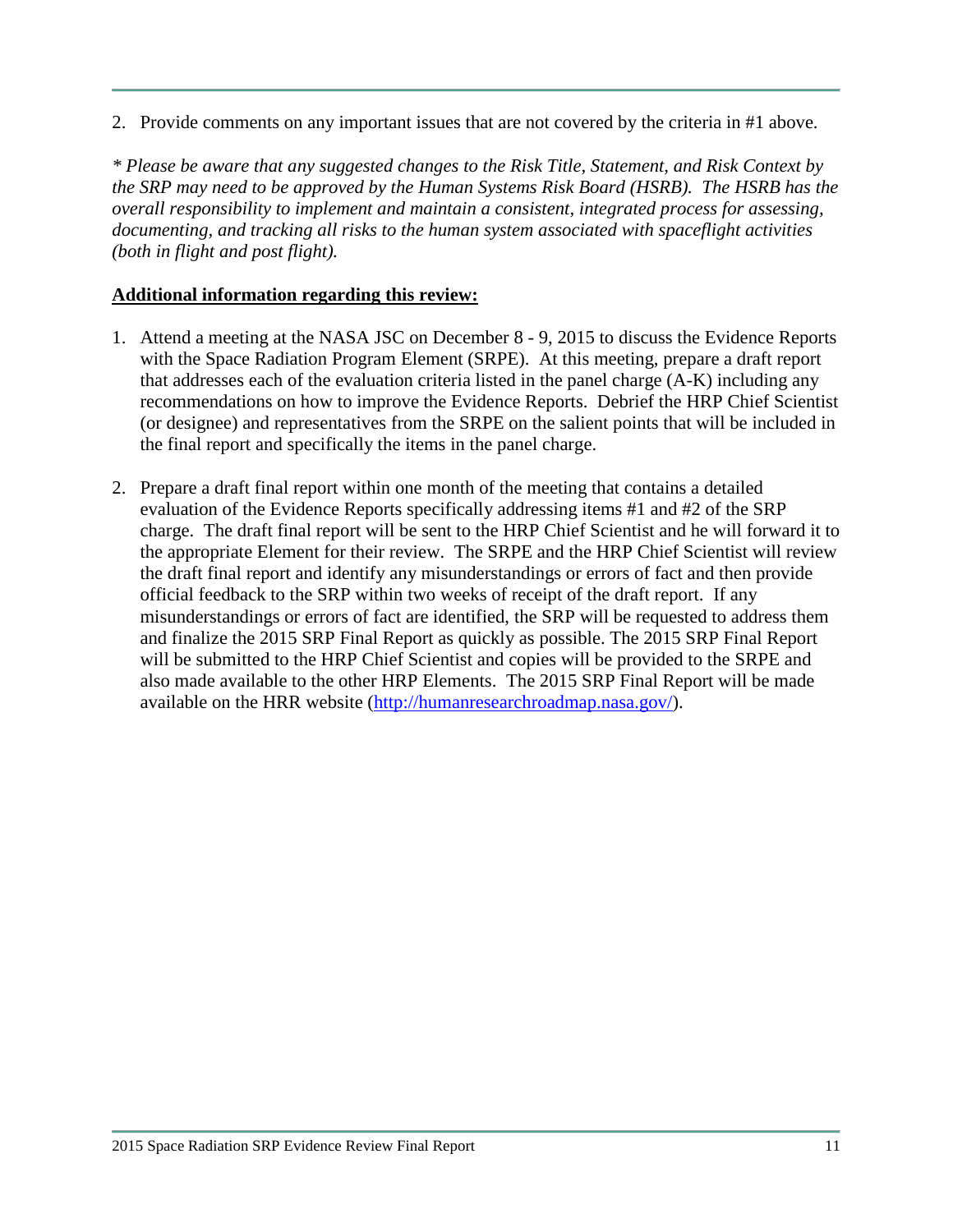2. Provide comments on any important issues that are not covered by the criteria in #1 above.

*\* Please be aware that any suggested changes to the Risk Title, Statement, and Risk Context by the SRP may need to be approved by the Human Systems Risk Board (HSRB). The HSRB has the overall responsibility to implement and maintain a consistent, integrated process for assessing, documenting, and tracking all risks to the human system associated with spaceflight activities (both in flight and post flight).* 

### **Additional information regarding this review:**

- 1. Attend a meeting at the NASA JSC on December 8 9, 2015 to discuss the Evidence Reports with the Space Radiation Program Element (SRPE). At this meeting, prepare a draft report that addresses each of the evaluation criteria listed in the panel charge (A-K) including any recommendations on how to improve the Evidence Reports. Debrief the HRP Chief Scientist (or designee) and representatives from the SRPE on the salient points that will be included in the final report and specifically the items in the panel charge.
- 2. Prepare a draft final report within one month of the meeting that contains a detailed evaluation of the Evidence Reports specifically addressing items #1 and #2 of the SRP charge. The draft final report will be sent to the HRP Chief Scientist and he will forward it to the appropriate Element for their review. The SRPE and the HRP Chief Scientist will review the draft final report and identify any misunderstandings or errors of fact and then provide official feedback to the SRP within two weeks of receipt of the draft report. If any misunderstandings or errors of fact are identified, the SRP will be requested to address them and finalize the 2015 SRP Final Report as quickly as possible. The 2015 SRP Final Report will be submitted to the HRP Chief Scientist and copies will be provided to the SRPE and also made available to the other HRP Elements. The 2015 SRP Final Report will be made available on the HRR website [\(http://humanresearchroadmap.nasa.gov/\)](http://humanresearchroadmap.nasa.gov/).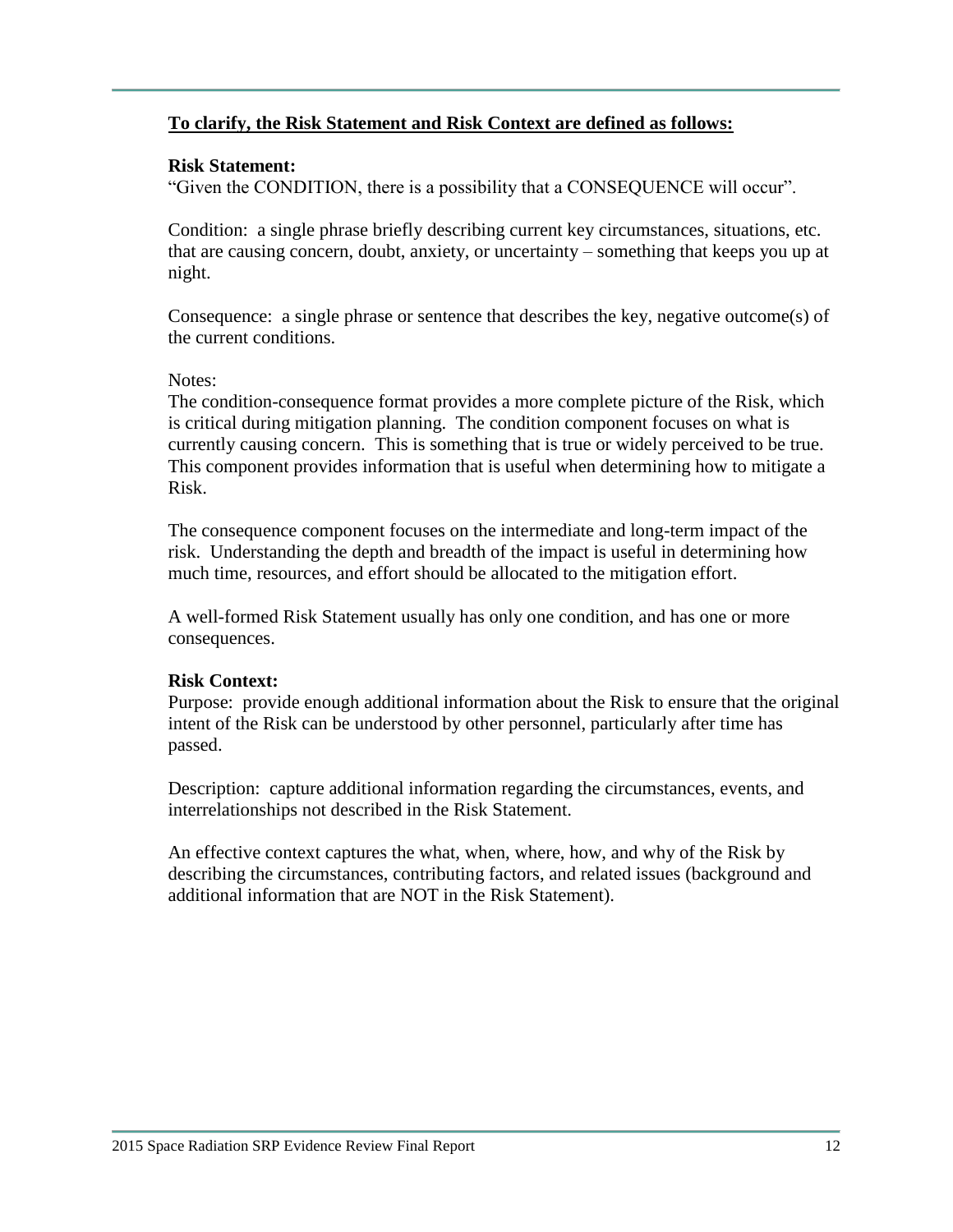### **To clarify, the Risk Statement and Risk Context are defined as follows:**

#### **Risk Statement:**

"Given the CONDITION, there is a possibility that a CONSEQUENCE will occur".

Condition: a single phrase briefly describing current key circumstances, situations, etc. that are causing concern, doubt, anxiety, or uncertainty – something that keeps you up at night.

Consequence: a single phrase or sentence that describes the key, negative outcome(s) of the current conditions.

#### Notes:

The condition-consequence format provides a more complete picture of the Risk, which is critical during mitigation planning. The condition component focuses on what is currently causing concern. This is something that is true or widely perceived to be true. This component provides information that is useful when determining how to mitigate a Risk.

The consequence component focuses on the intermediate and long-term impact of the risk. Understanding the depth and breadth of the impact is useful in determining how much time, resources, and effort should be allocated to the mitigation effort.

A well-formed Risk Statement usually has only one condition, and has one or more consequences.

#### **Risk Context:**

Purpose: provide enough additional information about the Risk to ensure that the original intent of the Risk can be understood by other personnel, particularly after time has passed.

Description: capture additional information regarding the circumstances, events, and interrelationships not described in the Risk Statement.

An effective context captures the what, when, where, how, and why of the Risk by describing the circumstances, contributing factors, and related issues (background and additional information that are NOT in the Risk Statement).